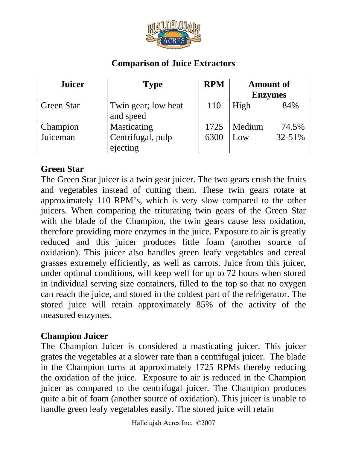

## **Comparison of Juice Extractors**

| <b>Juicer</b>     | <b>Type</b>                      | <b>RPM</b> | <b>Amount of</b> |        |
|-------------------|----------------------------------|------------|------------------|--------|
|                   |                                  |            | <b>Enzymes</b>   |        |
| <b>Green Star</b> | Twin gear; low heat<br>and speed | 110        | High             | 84%    |
| Champion          | Masticating                      | 1725       | Medium           | 74.5%  |
| Juiceman          | Centrifugal, pulp<br>ejecting    | 6300       | Low              | 32-51% |

## **Green Star**

The Green Star juicer is a twin gear juicer. The two gears crush the fruits and vegetables instead of cutting them. These twin gears rotate at approximately 110 RPM's, which is very slow compared to the other juicers. When comparing the triturating twin gears of the Green Star with the blade of the Champion, the twin gears cause less oxidation, therefore providing more enzymes in the juice. Exposure to air is greatly reduced and this juicer produces little foam (another source of oxidation). This juicer also handles green leafy vegetables and cereal grasses extremely efficiently, as well as carrots. Juice from this juicer, under optimal conditions, will keep well for up to 72 hours when stored in individual serving size containers, filled to the top so that no oxygen can reach the juice, and stored in the coldest part of the refrigerator. The stored juice will retain approximately 85% of the activity of the measured enzymes.

## **Champion Juicer**

The Champion Juicer is considered a masticating juicer. This juicer grates the vegetables at a slower rate than a centrifugal juicer. The blade in the Champion turns at approximately 1725 RPMs thereby reducing the oxidation of the juice. Exposure to air is reduced in the Champion juicer as compared to the centrifugal juicer. The Champion produces quite a bit of foam (another source of oxidation). This juicer is unable to handle green leafy vegetables easily. The stored juice will retain